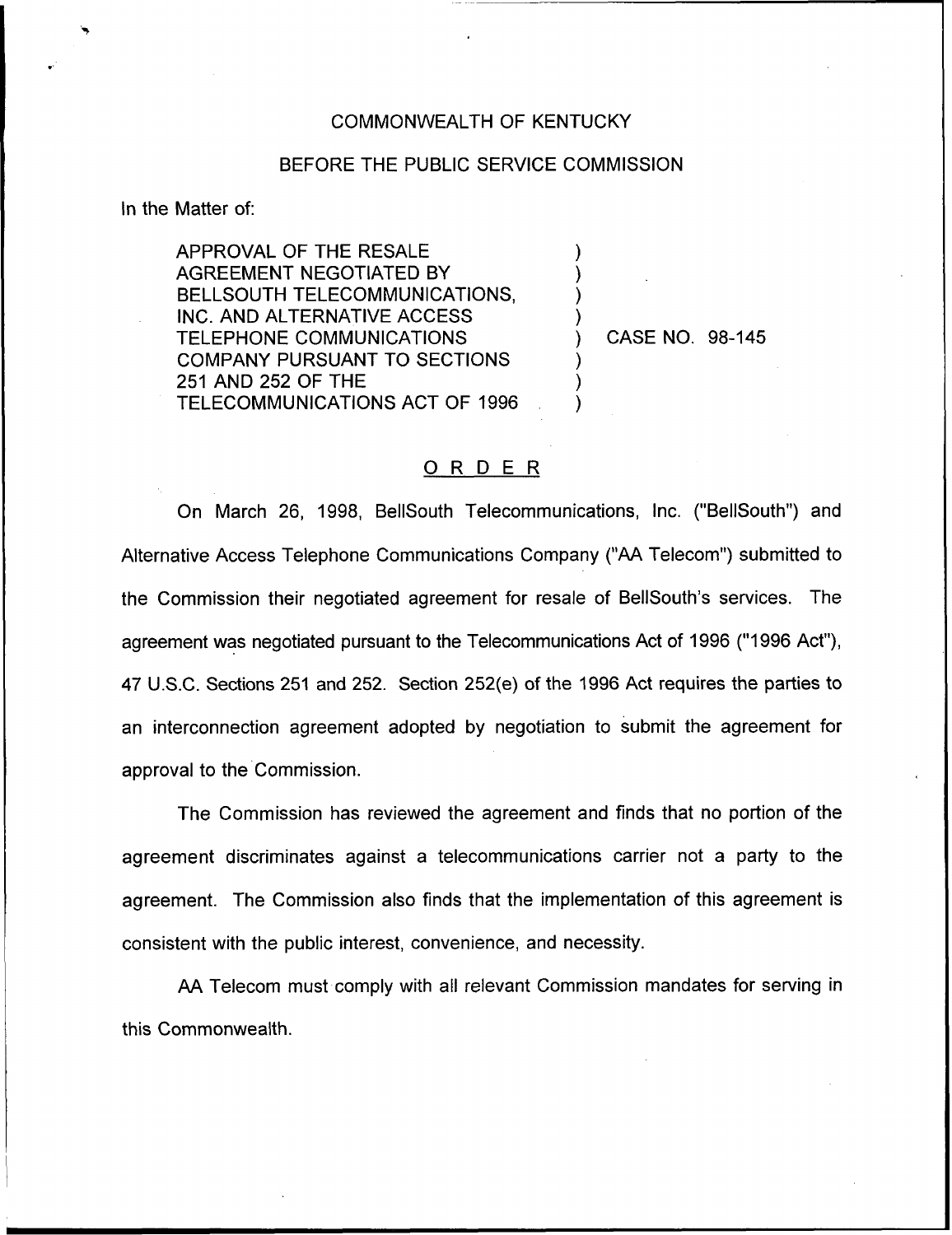## COMMONWEALTH OF KENTUCKY

## BEFORE THE PUBLIC SERVICE COMMISSION

) ) ) )

) ) )

ln the Matter of:

APPROVAL OF THE RESALE AGREEMENT NEGOTIATED BY BELLSOUTH TELECOMMUNICATIONS, INC. AND ALTERNATIVE ACCESS TELEPHONE COMMUNICATIONS COMPANY PURSUANT TO SECTIONS 251 AND 252 OF THE TELECOMMUNICATIONS ACT OF 1996

) CASE NO. 98-145

## ORDER

On March 26, 1998, BellSouth Telecommunications, Inc. ("BellSouth") and Alternative Access Telephone Communications Company ("AA Telecom") submitted to the Commission their negotiated agreement for resale of BellSouth's services. The agreement was negotiated pursuant to the Telecommunications Act of 1996 ("1996 Act"), 47 U.S.C. Sections 251 and 252. Section 252(e) of the 1996 Act requires the parties to an interconnection agreement adopted by negotiation to submit the agreement for approval to the Commission.

The Commission has reviewed the agreement and finds that no portion of the agreement discriminates against a telecommunications carrier not a party to the agreement. The Commission also finds that the implementation of this agreement is consistent with the public interest, convenience, and necessity.

AA Telecom must comply with all relevant Commission mandates for serving in this Commonwealth.